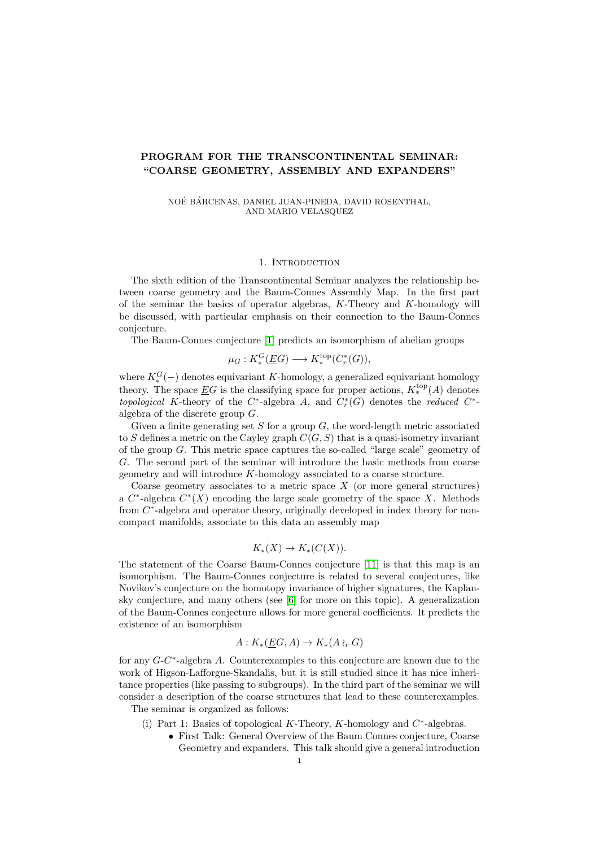## PROGRAM FOR THE TRANSCONTINENTAL SEMINAR: "COARSE GEOMETRY, ASSEMBLY AND EXPANDERS"

NOÉ BÁRCENAS, DANIEL JUAN-PINEDA, DAVID ROSENTHAL, AND MARIO VELASQUEZ

## 1. INTRODUCTION

The sixth edition of the Transcontinental Seminar analyzes the relationship between coarse geometry and the Baum-Connes Assembly Map. In the first part of the seminar the basics of operator algebras,  $K$ -Theory and  $K$ -homology will be discussed, with particular emphasis on their connection to the Baum-Connes conjecture.

The Baum-Connes conjecture [\[1\]](#page-2-0) predicts an isomorphism of abelian groups

$$
\mu_G: K^G_*(\underline{E}G) \longrightarrow K^{\text{top}}_*(C^*_r(G)),
$$

where  $K_*^G(-)$  denotes equivariant K-homology, a generalized equivariant homology theory. The space  $\underline{E}G$  is the classifying space for proper actions,  $K^{\mathrm{top}}_*(A)$  denotes topological K-theory of the  $C^*$ -algebra A, and  $C^*_r(G)$  denotes the reduced  $C^*$ algebra of the discrete group G.

Given a finite generating set S for a group  $G$ , the word-length metric associated to S defines a metric on the Cayley graph  $C(G, S)$  that is a quasi-isometry invariant of the group G. This metric space captures the so-called "large scale" geometry of G. The second part of the seminar will introduce the basic methods from coarse geometry and will introduce K-homology associated to a coarse structure.

Coarse geometry associates to a metric space  $X$  (or more general structures) a  $C^*$ -algebra  $C^*(X)$  encoding the large scale geometry of the space X. Methods from  $C^*$ -algebra and operator theory, originally developed in index theory for noncompact manifolds, associate to this data an assembly map

$$
K_*(X) \to K_*(C(X)).
$$

The statement of the Coarse Baum-Connes conjecture [\[11\]](#page-2-1) is that this map is an isomorphism. The Baum-Connes conjecture is related to several conjectures, like Novikov's conjecture on the homotopy invariance of higher signatures, the Kaplansky conjecture, and many others (see [\[6\]](#page-2-2) for more on this topic). A generalization of the Baum-Connes conjecture allows for more general coefficients. It predicts the existence of an isomorphism

$$
A: K_*(\underline{E}G, A) \to K_*(A \wr_r G)
$$

for any  $G-C^*$ -algebra A. Counterexamples to this conjecture are known due to the work of Higson-Lafforgue-Skandalis, but it is still studied since it has nice inheritance properties (like passing to subgroups). In the third part of the seminar we will consider a description of the coarse structures that lead to these counterexamples. The seminar is organized as follows:

- (i) Part 1: Basics of topological K-Theory, K-homology and  $C^*$ -algebras.
	- First Talk: General Overview of the Baum Connes conjecture, Coarse Geometry and expanders. This talk should give a general introduction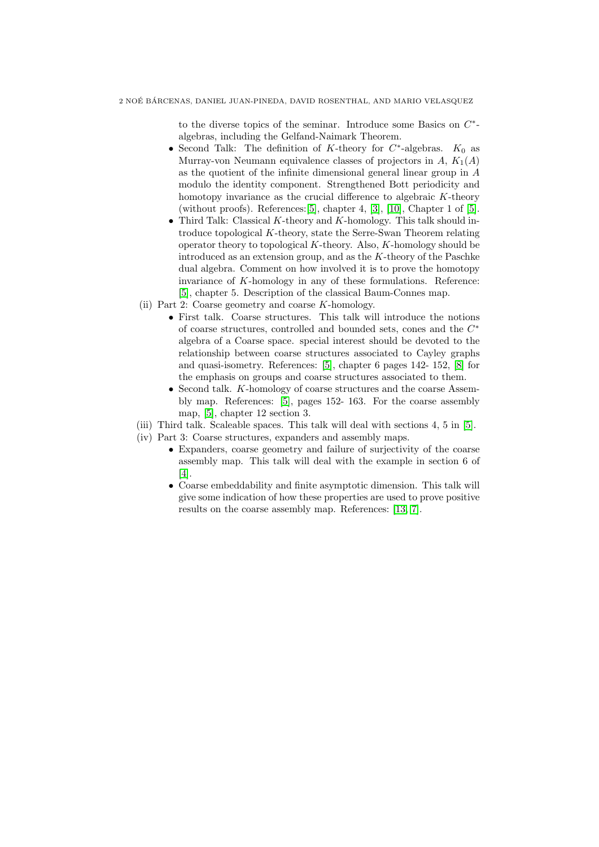to the diverse topics of the seminar. Introduce some Basics on  $C^*$ algebras, including the Gelfand-Naimark Theorem.

- Second Talk: The definition of K-theory for  $C^*$ -algebras.  $K_0$  as Murray-von Neumann equivalence classes of projectors in  $A, K_1(A)$ as the quotient of the infinite dimensional general linear group in A modulo the identity component. Strengthened Bott periodicity and homotopy invariance as the crucial difference to algebraic K-theory (without proofs). References:  $[5]$ , chapter 4,  $[3]$ ,  $[10]$ , Chapter 1 of  $[5]$ .
- Third Talk: Classical  $K$ -theory and  $K$ -homology. This talk should introduce topological K-theory, state the Serre-Swan Theorem relating operator theory to topological  $K$ -theory. Also,  $K$ -homology should be introduced as an extension group, and as the  $K$ -theory of the Paschke dual algebra. Comment on how involved it is to prove the homotopy invariance of K-homology in any of these formulations. Reference: [\[5\]](#page-2-3), chapter 5. Description of the classical Baum-Connes map.
- (ii) Part 2: Coarse geometry and coarse K-homology.
	- First talk. Coarse structures. This talk will introduce the notions of coarse structures, controlled and bounded sets, cones and the  $C^*$ algebra of a Coarse space. special interest should be devoted to the relationship between coarse structures associated to Cayley graphs and quasi-isometry. References: [\[5\]](#page-2-3), chapter 6 pages 142- 152, [\[8\]](#page-2-6) for the emphasis on groups and coarse structures associated to them.
	- Second talk. K-homology of coarse structures and the coarse Assembly map. References: [\[5\]](#page-2-3), pages 152- 163. For the coarse assembly map, [\[5\]](#page-2-3), chapter 12 section 3.
- (iii) Third talk. Scaleable spaces. This talk will deal with sections 4, 5 in [\[5\]](#page-2-3).
- (iv) Part 3: Coarse structures, expanders and assembly maps.
	- Expanders, coarse geometry and failure of surjectivity of the coarse assembly map. This talk will deal with the example in section 6 of [\[4\]](#page-2-7).
	- Coarse embeddability and finite asymptotic dimension. This talk will give some indication of how these properties are used to prove positive results on the coarse assembly map. References: [\[13,](#page-2-8) [7\]](#page-2-9).